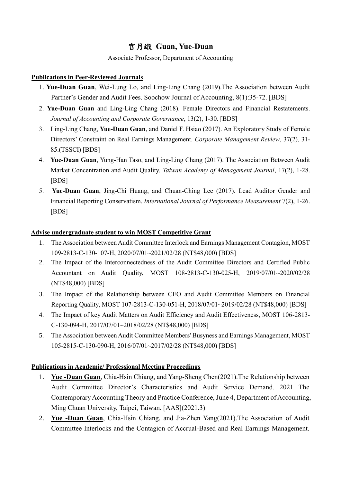# 官月緞 **Guan, Yue-Duan**

#### Associate Professor, Department of Accounting

#### **Publications in Peer-Reviewed Journals**

- 1. **Yue-Duan Guan**, Wei-Lung Lo, and Ling-Ling Chang (2019).The Association between Audit Partner's Gender and Audit Fees. Soochow Journal of Accounting, 8(1):35-72. [BDS]
- 2. **Yue-Duan Guan** and Ling-Ling Chang (2018). Female Directors and Financial Restatements. *Journal of Accounting and Corporate Governance*, 13(2), 1-30. [BDS]
- 3. Ling-Ling Chang, **Yue-Duan Guan**, and Daniel F. Hsiao (2017). An Exploratory Study of Female Directors' Constraint on Real Earnings Management. *Corporate Management Review*, 37(2), 31- 85.(TSSCI) [BDS]
- 4. **Yue-Duan Guan**, Yung-Han Taso, and Ling-Ling Chang (2017). The Association Between Audit Market Concentration and Audit Quality. *Taiwan Academy of Management Journal*, 17(2), 1-28. [BDS]
- 5. **Yue-Duan Guan**, Jing-Chi Huang, and Chuan-Ching Lee (2017). Lead Auditor Gender and Financial Reporting Conservatism. *International Journal of Performance Measurement* 7(2), 1-26. [BDS]

### **Advise undergraduate student to win MOST Competitive Grant**

- 1. The Association between Audit Committee Interlock and Earnings Management Contagion, MOST 109-2813-C-130-107-H, 2020/07/01~2021/02/28 (NT\$48,000) [BDS]
- 2. The Impact of the Interconnectedness of the Audit Committee Directors and Certified Public Accountant on Audit Quality, MOST 108-2813-C-130-025-H, 2019/07/01~2020/02/28 (NT\$48,000) [BDS]
- 3. The Impact of the Relationship between CEO and Audit Committee Members on Financial Reporting Quality, MOST 107-2813-C-130-051-H, 2018/07/01~2019/02/28 (NT\$48,000) [BDS]
- 4. The Impact of key Audit Matters on Audit Efficiency and Audit Effectiveness, MOST 106-2813- C-130-094-H, 2017/07/01~2018/02/28 (NT\$48,000) [BDS]
- 5. The Association between Audit Committee Members' Busyness and Earnings Management, MOST 105-2815-C-130-090-H, 2016/07/01~2017/02/28 (NT\$48,000) [BDS]

## **Publications in Academic/ Professional Meeting Proceedings**

- 1. **Yue -Duan Guan**, Chia-Hsin Chiang, and Yang-Sheng Chen(2021).The Relationship between Audit Committee Director's Characteristics and Audit Service Demand. 2021 The Contemporary Accounting Theory and Practice Conference, June 4, Department of Accounting, Ming Chuan University, Taipei, Taiwan. [AAS](2021.3)
- 2. **Yue -Duan Guan**, Chia-Hsin Chiang, and Jia-Zhen Yang(2021).The Association of Audit Committee Interlocks and the Contagion of Accrual-Based and Real Earnings Management.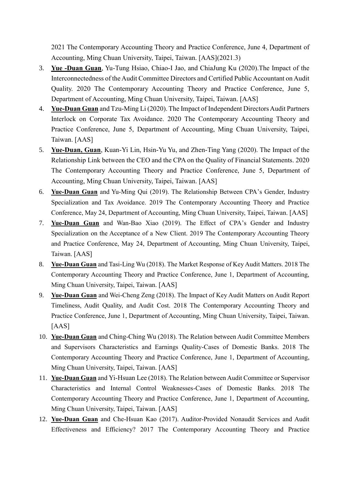2021 The Contemporary Accounting Theory and Practice Conference, June 4, Department of Accounting, Ming Chuan University, Taipei, Taiwan. [AAS](2021.3)

- 3. **Yue -Duan Guan**, Yu-Tung Hsiao, Chiao-I Jao, and ChiaJung Ku (2020).The Impact of the Interconnectedness of the Audit Committee Directors and Certified Public Accountant on Audit Quality. 2020 The Contemporary Accounting Theory and Practice Conference, June 5, Department of Accounting, Ming Chuan University, Taipei, Taiwan. [AAS]
- 4. **Yue-Duan Guan** and Tzu-Ming Li (2020). The Impact of Independent Directors Audit Partners Interlock on Corporate Tax Avoidance. 2020 The Contemporary Accounting Theory and Practice Conference, June 5, Department of Accounting, Ming Chuan University, Taipei, Taiwan. [AAS]
- 5. **Yue-Duan, Guan**, Kuan-Yi Lin, Hsin-Yu Yu, and Zhen-Ting Yang (2020). The Impact of the Relationship Link between the CEO and the CPA on the Quality of Financial Statements. 2020 The Contemporary Accounting Theory and Practice Conference, June 5, Department of Accounting, Ming Chuan University, Taipei, Taiwan. [AAS]
- 6. **Yue-Duan Guan** and Yu-Ming Qui (2019). The Relationship Between CPA's Gender, Industry Specialization and Tax Avoidance. 2019 The Contemporary Accounting Theory and Practice Conference, May 24, Department of Accounting, Ming Chuan University, Taipei, Taiwan. [AAS]
- 7. **Yue-Duan Guan** and Wan-Bao Xiao (2019). The Effect of CPA's Gender and Industry Specialization on the Acceptance of a New Client. 2019 The Contemporary Accounting Theory and Practice Conference, May 24, Department of Accounting, Ming Chuan University, Taipei, Taiwan. [AAS]
- 8. **Yue-Duan Guan** and Tasi-Ling Wu (2018). The Market Response of Key Audit Matters. 2018 The Contemporary Accounting Theory and Practice Conference, June 1, Department of Accounting, Ming Chuan University, Taipei, Taiwan. [AAS]
- 9. **Yue-Duan Guan** and Wei-Cheng Zeng (2018). The Impact of Key Audit Matters on Audit Report Timeliness, Audit Quality, and Audit Cost. 2018 The Contemporary Accounting Theory and Practice Conference, June 1, Department of Accounting, Ming Chuan University, Taipei, Taiwan. [AAS]
- 10. **Yue-Duan Guan** and Ching-Ching Wu (2018). The Relation between Audit Committee Members and Supervisors Characteristics and Earnings Quality-Cases of Domestic Banks. 2018 The Contemporary Accounting Theory and Practice Conference, June 1, Department of Accounting, Ming Chuan University, Taipei, Taiwan. [AAS]
- 11. **Yue-Duan Guan** and Yi-Hsuan Lee (2018). The Relation between Audit Committee or Supervisor Characteristics and Internal Control Weaknesses-Cases of Domestic Banks. 2018 The Contemporary Accounting Theory and Practice Conference, June 1, Department of Accounting, Ming Chuan University, Taipei, Taiwan. [AAS]
- 12. **Yue-Duan Guan** and Che-Hsuan Kao (2017). Auditor-Provided Nonaudit Services and Audit Effectiveness and Efficiency? 2017 The Contemporary Accounting Theory and Practice